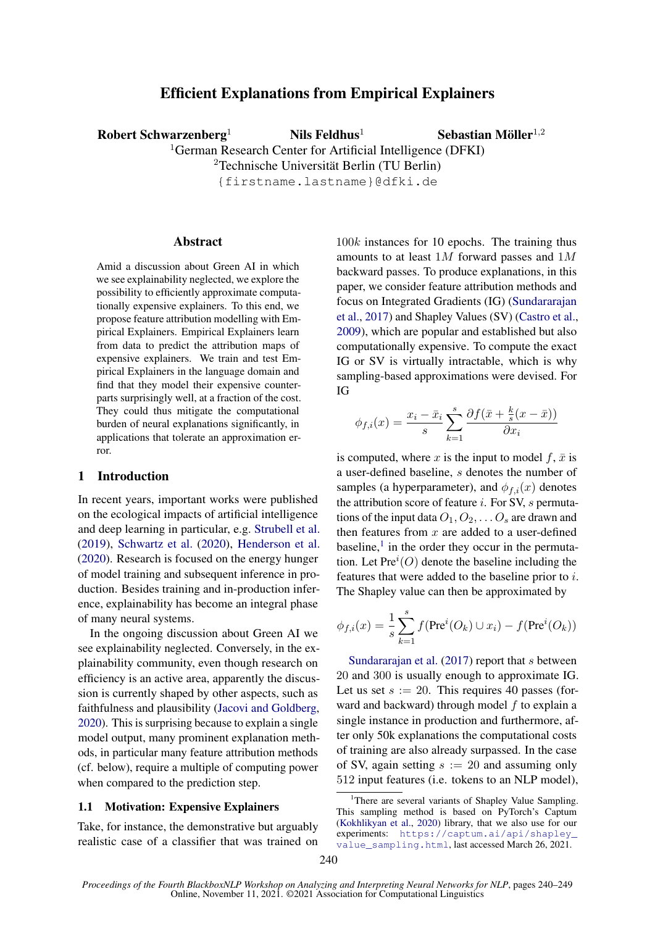# Efficient Explanations from Empirical Explainers

Robert Schwarzenberg<sup>1</sup> Nils Feldhus<sup>1</sup>

Sebastian Möller $^{1,2}$ 

<sup>1</sup>German Research Center for Artificial Intelligence (DFKI)

<sup>2</sup>Technische Universität Berlin (TU Berlin)

{firstname.lastname}@dfki.de

#### Abstract

Amid a discussion about Green AI in which we see explainability neglected, we explore the possibility to efficiently approximate computationally expensive explainers. To this end, we propose feature attribution modelling with Empirical Explainers. Empirical Explainers learn from data to predict the attribution maps of expensive explainers. We train and test Empirical Explainers in the language domain and find that they model their expensive counterparts surprisingly well, at a fraction of the cost. They could thus mitigate the computational burden of neural explanations significantly, in applications that tolerate an approximation error.

# 1 Introduction

In recent years, important works were published on the ecological impacts of artificial intelligence and deep learning in particular, e.g. [Strubell et al.](#page-9-0) [\(2019\)](#page-9-0), [Schwartz et al.](#page-9-1) [\(2020\)](#page-9-1), [Henderson et al.](#page-8-0) [\(2020\)](#page-8-0). Research is focused on the energy hunger of model training and subsequent inference in production. Besides training and in-production inference, explainability has become an integral phase of many neural systems.

In the ongoing discussion about Green AI we see explainability neglected. Conversely, in the explainability community, even though research on efficiency is an active area, apparently the discussion is currently shaped by other aspects, such as faithfulness and plausibility [\(Jacovi and Goldberg,](#page-8-1) [2020\)](#page-8-1). This is surprising because to explain a single model output, many prominent explanation methods, in particular many feature attribution methods (cf. below), require a multiple of computing power when compared to the prediction step.

#### 1.1 Motivation: Expensive Explainers

Take, for instance, the demonstrative but arguably realistic case of a classifier that was trained on 100k instances for 10 epochs. The training thus amounts to at least 1M forward passes and 1M backward passes. To produce explanations, in this paper, we consider feature attribution methods and focus on Integrated Gradients (IG) [\(Sundararajan](#page-9-2) [et al.,](#page-9-2) [2017\)](#page-9-2) and Shapley Values (SV) [\(Castro et al.,](#page-8-2) [2009\)](#page-8-2), which are popular and established but also computationally expensive. To compute the exact IG or SV is virtually intractable, which is why sampling-based approximations were devised. For IG

$$
\phi_{f,i}(x) = \frac{x_i - \bar{x}_i}{s} \sum_{k=1}^s \frac{\partial f(\bar{x} + \frac{k}{s}(x - \bar{x}))}{\partial x_i}
$$

is computed, where x is the input to model  $f$ ,  $\bar{x}$  is a user-defined baseline, s denotes the number of samples (a hyperparameter), and  $\phi_{f,i}(x)$  denotes the attribution score of feature  $i$ . For SV,  $s$  permutations of the input data  $O_1, O_2, \ldots O_s$  are drawn and then features from  $x$  are added to a user-defined  $baseline$ ,<sup>[1](#page-0-0)</sup> in the order they occur in the permutation. Let  $Pre<sup>i</sup>(O)$  denote the baseline including the features that were added to the baseline prior to i. The Shapley value can then be approximated by

$$
\phi_{f,i}(x) = \frac{1}{s} \sum_{k=1}^{s} f(\text{Pre}^{i}(O_k) \cup x_i) - f(\text{Pre}^{i}(O_k))
$$

[Sundararajan et al.](#page-9-2)  $(2017)$  report that s between 20 and 300 is usually enough to approximate IG. Let us set  $s := 20$ . This requires 40 passes (forward and backward) through model  $f$  to explain a single instance in production and furthermore, after only 50k explanations the computational costs of training are also already surpassed. In the case of SV, again setting  $s := 20$  and assuming only 512 input features (i.e. tokens to an NLP model),

<span id="page-0-0"></span><sup>&</sup>lt;sup>1</sup>There are several variants of Shapley Value Sampling. This sampling method is based on PyTorch's Captum [\(Kokhlikyan et al.,](#page-8-3) [2020\)](#page-8-3) library, that we also use for our experiments: [https://captum.ai/api/shapley\\_](https://captum.ai/api/shapley_value_sampling.html) [value\\_sampling.html](https://captum.ai/api/shapley_value_sampling.html), last accessed March 26, 2021.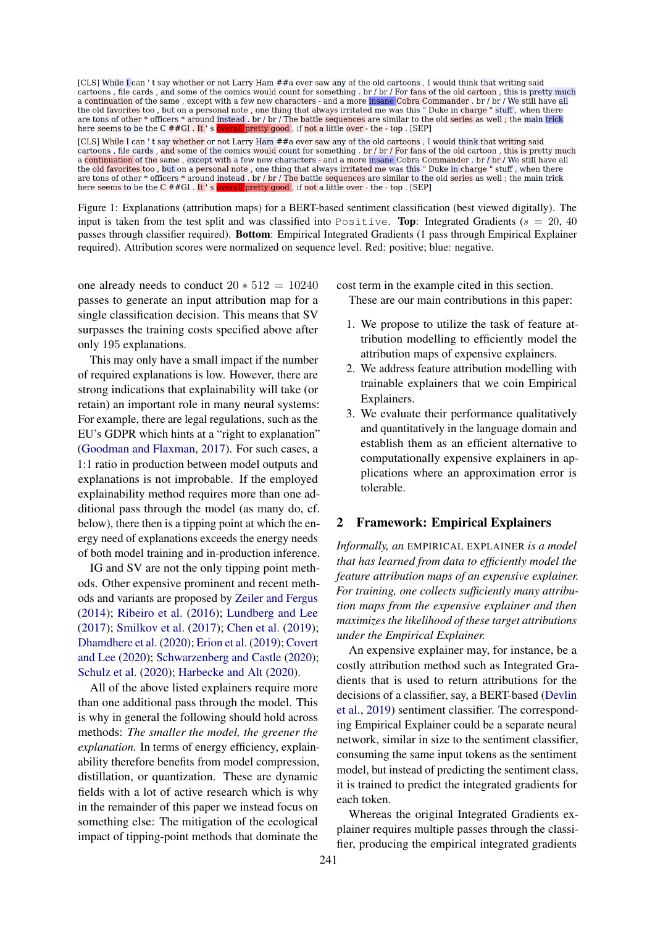<span id="page-1-0"></span>[CLS] While I can 't say whether or not Larry Ham ##a ever saw any of the old cartoons, I would think that writing said cartoons, file cards, and some of the comics would count for something. br / br / For fans of the old cartoon, this is pretty much a continuation of the same, except with a few new characters - and a more insane Cobra Commander. br/br/We still have all<br>the old favorites too, but on a personal note, one thing that always irritated me was this "Duke in are tons of other \* officers \* around instead . br / br / The battle sequences are similar to the old series as well; the main trick here seems to be the C ##GI. It's ove all pretty good , if not a little over - the - top . [SEP]

[CLS] While I can't say whether or not Larry Ham ##a ever saw any of the old cartoons, I would think that writing said cartoons, file cards, and some of the comics would count for something. br / br / For fans of the old cartoon, this is pretty much a continuation of the same, except with a few new characters - and a more insane Cobra Commander . br / br / We still have all the old favorites too, but on a personal note, one thing that always irritated me was this "Duke in charge " stuff, when there are tons of other \* officers \* around instead. br / br / The battle sequences are similar to the old series as well; the main trick here seems to be the C ##GI. It's overall pretty good, if not a little over - the - top. [SEP]

Figure 1: Explanations (attribution maps) for a BERT-based sentiment classification (best viewed digitally). The input is taken from the test split and was classified into Positive. Top: Integrated Gradients ( $s = 20, 40$ ) passes through classifier required). Bottom: Empirical Integrated Gradients (1 pass through Empirical Explainer required). Attribution scores were normalized on sequence level. Red: positive; blue: negative.

one already needs to conduct  $20 * 512 = 10240$ passes to generate an input attribution map for a single classification decision. This means that SV surpasses the training costs specified above after only 195 explanations.

This may only have a small impact if the number of required explanations is low. However, there are strong indications that explainability will take (or retain) an important role in many neural systems: For example, there are legal regulations, such as the EU's GDPR which hints at a "right to explanation" [\(Goodman and Flaxman,](#page-8-4) [2017\)](#page-8-4). For such cases, a 1:1 ratio in production between model outputs and explanations is not improbable. If the employed explainability method requires more than one additional pass through the model (as many do, cf. below), there then is a tipping point at which the energy need of explanations exceeds the energy needs of both model training and in-production inference.

IG and SV are not the only tipping point methods. Other expensive prominent and recent methods and variants are proposed by [Zeiler and Fergus](#page-9-3) [\(2014\)](#page-9-3); [Ribeiro et al.](#page-8-5) [\(2016\)](#page-8-5); [Lundberg and Lee](#page-8-6) [\(2017\)](#page-8-6); [Smilkov et al.](#page-9-4) [\(2017\)](#page-9-4); [Chen et al.](#page-8-7) [\(2019\)](#page-8-7); [Dhamdhere et al.](#page-8-8) [\(2020\)](#page-8-8); [Erion et al.](#page-8-9) [\(2019\)](#page-8-9); [Covert](#page-8-10) [and Lee](#page-8-10) [\(2020\)](#page-8-10); [Schwarzenberg and Castle](#page-9-5) [\(2020\)](#page-9-5); [Schulz et al.](#page-9-6) [\(2020\)](#page-9-6); [Harbecke and Alt](#page-8-11) [\(2020\)](#page-8-11).

All of the above listed explainers require more than one additional pass through the model. This is why in general the following should hold across methods: *The smaller the model, the greener the explanation.* In terms of energy efficiency, explainability therefore benefits from model compression, distillation, or quantization. These are dynamic fields with a lot of active research which is why in the remainder of this paper we instead focus on something else: The mitigation of the ecological impact of tipping-point methods that dominate the

cost term in the example cited in this section. These are our main contributions in this paper:

- 1. We propose to utilize the task of feature attribution modelling to efficiently model the attribution maps of expensive explainers.
- 2. We address feature attribution modelling with trainable explainers that we coin Empirical Explainers.
- 3. We evaluate their performance qualitatively and quantitatively in the language domain and establish them as an efficient alternative to computationally expensive explainers in applications where an approximation error is tolerable.

# 2 Framework: Empirical Explainers

*Informally, an* EMPIRICAL EXPLAINER *is a model that has learned from data to efficiently model the feature attribution maps of an expensive explainer. For training, one collects sufficiently many attribution maps from the expensive explainer and then maximizes the likelihood of these target attributions under the Empirical Explainer.*

An expensive explainer may, for instance, be a costly attribution method such as Integrated Gradients that is used to return attributions for the decisions of a classifier, say, a BERT-based [\(Devlin](#page-8-12) [et al.,](#page-8-12) [2019\)](#page-8-12) sentiment classifier. The corresponding Empirical Explainer could be a separate neural network, similar in size to the sentiment classifier, consuming the same input tokens as the sentiment model, but instead of predicting the sentiment class, it is trained to predict the integrated gradients for each token.

Whereas the original Integrated Gradients explainer requires multiple passes through the classifier, producing the empirical integrated gradients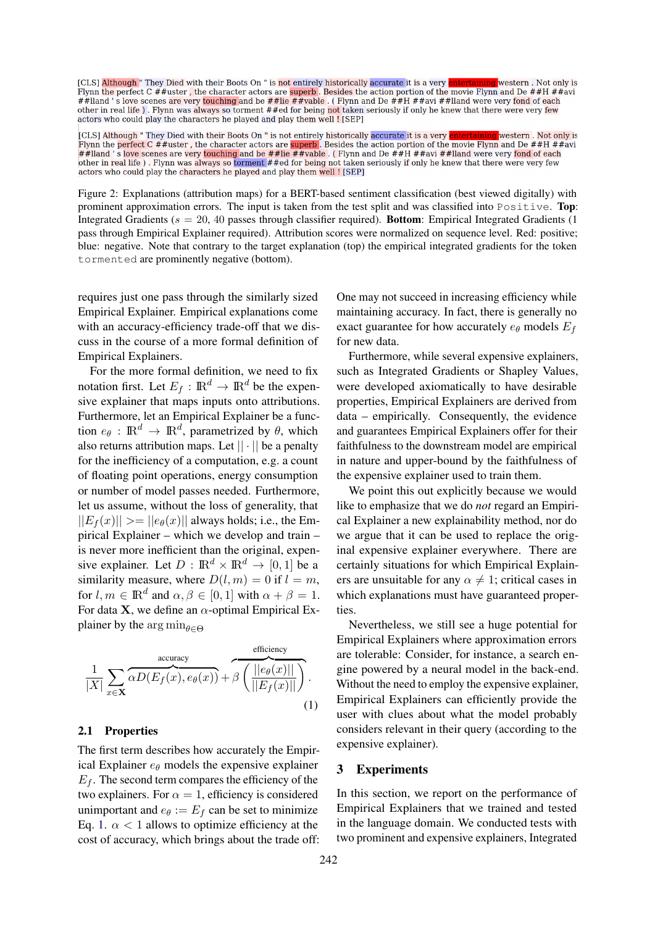<span id="page-2-1"></span>[CLS] Although " They Died with their Boots On " is not entirely historically accurate it is a very entertaining western. Not only is Flynn the perfect C  $#$ #uster, the character actors are superb. Besides the action portion of the movie Flynn and De  $#$ #H  $#$ #avi ##lland 's love scenes are very touching and be ##lie ##vable. (Flynn and De ##H ##avi ##lland were very fond of each other in real life). Flynn was always so torment ##ed for being not taken seriously if only he knew that there were very few actors who could play the characters he played and play them well ! [SEP]

[CLS] Although " They Died with their Boots On " is not entirely historically accurate it is a very entertaining western. Not only is Flynn the perfect C ##uster, the character actors are superb. Besides the action portion of the movie Flynn and De ##H ##avi ##lland 's love scenes are very touching and be ##lie ##vable. (Flynn and De ##H ##avi ##lland were very fond of each other in real life). Flynn was always so torment ##ed for being not taken seriously if only he knew that there were very few actors who could play the characters he played and play them well ! [SEP]

Figure 2: Explanations (attribution maps) for a BERT-based sentiment classification (best viewed digitally) with prominent approximation errors. The input is taken from the test split and was classified into Positive. Top: Integrated Gradients ( $s = 20, 40$  passes through classifier required). **Bottom**: Empirical Integrated Gradients (1) pass through Empirical Explainer required). Attribution scores were normalized on sequence level. Red: positive; blue: negative. Note that contrary to the target explanation (top) the empirical integrated gradients for the token tormented are prominently negative (bottom).

requires just one pass through the similarly sized Empirical Explainer. Empirical explanations come with an accuracy-efficiency trade-off that we discuss in the course of a more formal definition of Empirical Explainers.

For the more formal definition, we need to fix notation first. Let  $E_f$ :  $\mathbb{R}^d \to \mathbb{R}^d$  be the expensive explainer that maps inputs onto attributions. Furthermore, let an Empirical Explainer be a function  $e_{\theta}$ :  $\mathbb{R}^d \to \mathbb{R}^d$ , parametrized by  $\theta$ , which also returns attribution maps. Let  $|| \cdot ||$  be a penalty for the inefficiency of a computation, e.g. a count of floating point operations, energy consumption or number of model passes needed. Furthermore, let us assume, without the loss of generality, that  $||E_f(x)|| \geq ||e_\theta(x)||$  always holds; i.e., the Empirical Explainer – which we develop and train – is never more inefficient than the original, expensive explainer. Let  $D : \mathbb{R}^d \times \mathbb{R}^d \to [0, 1]$  be a similarity measure, where  $D(l, m) = 0$  if  $l = m$ , for  $l, m \in \mathbb{R}^d$  and  $\alpha, \beta \in [0, 1]$  with  $\alpha + \beta = 1$ . For data **X**, we define an  $\alpha$ -optimal Empirical Explainer by the arg  $\min_{\theta \in \Theta}$ 

$$
\frac{1}{|X|} \sum_{x \in \mathbf{X}} \overbrace{\alpha D(E_f(x), e_{\theta}(x))}^{\text{accuracy}} + \beta \left( \frac{||e_{\theta}(x)||}{||E_f(x)||} \right). \tag{1}
$$

#### 2.1 Properties

The first term describes how accurately the Empirical Explainer  $e_{\theta}$  models the expensive explainer  $E_f$ . The second term compares the efficiency of the two explainers. For  $\alpha = 1$ , efficiency is considered unimportant and  $e_{\theta} := E_f$  can be set to minimize Eq. [1.](#page-2-0)  $\alpha$  < 1 allows to optimize efficiency at the cost of accuracy, which brings about the trade off: One may not succeed in increasing efficiency while maintaining accuracy. In fact, there is generally no exact guarantee for how accurately  $e_{\theta}$  models  $E_f$ for new data.

Furthermore, while several expensive explainers, such as Integrated Gradients or Shapley Values, were developed axiomatically to have desirable properties, Empirical Explainers are derived from data – empirically. Consequently, the evidence and guarantees Empirical Explainers offer for their faithfulness to the downstream model are empirical in nature and upper-bound by the faithfulness of the expensive explainer used to train them.

We point this out explicitly because we would like to emphasize that we do *not* regard an Empirical Explainer a new explainability method, nor do we argue that it can be used to replace the original expensive explainer everywhere. There are certainly situations for which Empirical Explainers are unsuitable for any  $\alpha \neq 1$ ; critical cases in which explanations must have guaranteed properties.

<span id="page-2-0"></span>Nevertheless, we still see a huge potential for Empirical Explainers where approximation errors are tolerable: Consider, for instance, a search engine powered by a neural model in the back-end. Without the need to employ the expensive explainer, Empirical Explainers can efficiently provide the user with clues about what the model probably considers relevant in their query (according to the expensive explainer).

#### 3 Experiments

In this section, we report on the performance of Empirical Explainers that we trained and tested in the language domain. We conducted tests with two prominent and expensive explainers, Integrated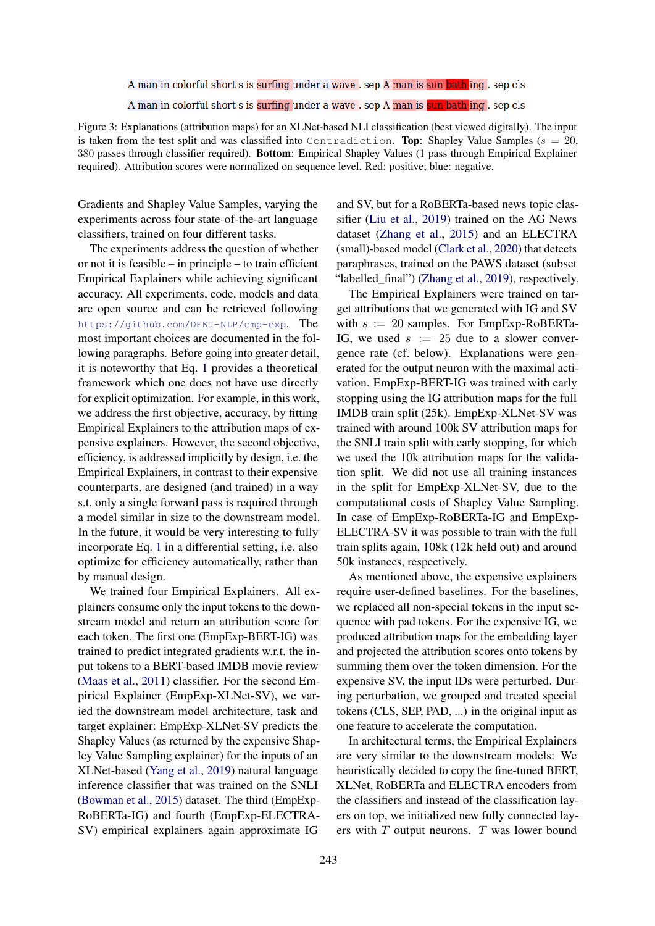<span id="page-3-0"></span>A man in colorful short s is surfing under a wave . sep A man is sun bath ing . sep cls A man in colorful short s is surfing under a wave . sep A man is sun bath ing . sep cls

Figure 3: Explanations (attribution maps) for an XLNet-based NLI classification (best viewed digitally). The input is taken from the test split and was classified into Contradiction. Top: Shapley Value Samples ( $s = 20$ , 380 passes through classifier required). Bottom: Empirical Shapley Values (1 pass through Empirical Explainer required). Attribution scores were normalized on sequence level. Red: positive; blue: negative.

Gradients and Shapley Value Samples, varying the experiments across four state-of-the-art language classifiers, trained on four different tasks.

The experiments address the question of whether or not it is feasible – in principle – to train efficient Empirical Explainers while achieving significant accuracy. All experiments, code, models and data are open source and can be retrieved following <https://github.com/DFKI-NLP/emp-exp>. The most important choices are documented in the following paragraphs. Before going into greater detail, it is noteworthy that Eq. [1](#page-2-0) provides a theoretical framework which one does not have use directly for explicit optimization. For example, in this work, we address the first objective, accuracy, by fitting Empirical Explainers to the attribution maps of expensive explainers. However, the second objective, efficiency, is addressed implicitly by design, i.e. the Empirical Explainers, in contrast to their expensive counterparts, are designed (and trained) in a way s.t. only a single forward pass is required through a model similar in size to the downstream model. In the future, it would be very interesting to fully incorporate Eq. [1](#page-2-0) in a differential setting, i.e. also optimize for efficiency automatically, rather than by manual design.

We trained four Empirical Explainers. All explainers consume only the input tokens to the downstream model and return an attribution score for each token. The first one (EmpExp-BERT-IG) was trained to predict integrated gradients w.r.t. the input tokens to a BERT-based IMDB movie review [\(Maas et al.,](#page-8-13) [2011\)](#page-8-13) classifier. For the second Empirical Explainer (EmpExp-XLNet-SV), we varied the downstream model architecture, task and target explainer: EmpExp-XLNet-SV predicts the Shapley Values (as returned by the expensive Shapley Value Sampling explainer) for the inputs of an XLNet-based [\(Yang et al.,](#page-9-7) [2019\)](#page-9-7) natural language inference classifier that was trained on the SNLI [\(Bowman et al.,](#page-8-14) [2015\)](#page-8-14) dataset. The third (EmpExp-RoBERTa-IG) and fourth (EmpExp-ELECTRA-SV) empirical explainers again approximate IG

and SV, but for a RoBERTa-based news topic classifier [\(Liu et al.,](#page-8-15) [2019\)](#page-8-15) trained on the AG News dataset [\(Zhang et al.,](#page-9-8) [2015\)](#page-9-8) and an ELECTRA (small)-based model [\(Clark et al.,](#page-8-16) [2020\)](#page-8-16) that detects paraphrases, trained on the PAWS dataset (subset "labelled\_final") [\(Zhang et al.,](#page-9-9) [2019\)](#page-9-9), respectively.

The Empirical Explainers were trained on target attributions that we generated with IG and SV with  $s := 20$  samples. For EmpExp-RoBERTa-IG, we used  $s := 25$  due to a slower convergence rate (cf. below). Explanations were generated for the output neuron with the maximal activation. EmpExp-BERT-IG was trained with early stopping using the IG attribution maps for the full IMDB train split (25k). EmpExp-XLNet-SV was trained with around 100k SV attribution maps for the SNLI train split with early stopping, for which we used the 10k attribution maps for the validation split. We did not use all training instances in the split for EmpExp-XLNet-SV, due to the computational costs of Shapley Value Sampling. In case of EmpExp-RoBERTa-IG and EmpExp-ELECTRA-SV it was possible to train with the full train splits again, 108k (12k held out) and around 50k instances, respectively.

As mentioned above, the expensive explainers require user-defined baselines. For the baselines, we replaced all non-special tokens in the input sequence with pad tokens. For the expensive IG, we produced attribution maps for the embedding layer and projected the attribution scores onto tokens by summing them over the token dimension. For the expensive SV, the input IDs were perturbed. During perturbation, we grouped and treated special tokens (CLS, SEP, PAD, ...) in the original input as one feature to accelerate the computation.

In architectural terms, the Empirical Explainers are very similar to the downstream models: We heuristically decided to copy the fine-tuned BERT, XLNet, RoBERTa and ELECTRA encoders from the classifiers and instead of the classification layers on top, we initialized new fully connected layers with  $T$  output neurons.  $T$  was lower bound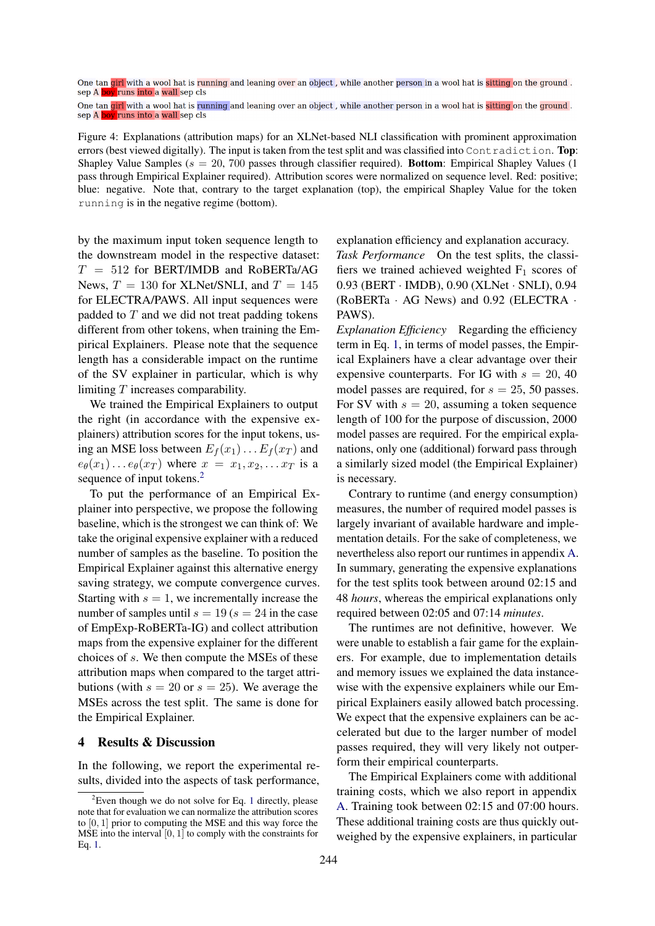<span id="page-4-1"></span>One tan girl with a wool hat is running and leaning over an object, while another person in a wool hat is sitting on the ground. sep A boy runs into a wall sep cls

One tan girl with a wool hat is running and leaning over an object, while another person in a wool hat is sitting on the ground. sep A boy runs into a wall sep cls

Figure 4: Explanations (attribution maps) for an XLNet-based NLI classification with prominent approximation errors (best viewed digitally). The input is taken from the test split and was classified into Contradiction. Top: Shapley Value Samples ( $s = 20, 700$  passes through classifier required). **Bottom**: Empirical Shapley Values (1) pass through Empirical Explainer required). Attribution scores were normalized on sequence level. Red: positive; blue: negative. Note that, contrary to the target explanation (top), the empirical Shapley Value for the token running is in the negative regime (bottom).

by the maximum input token sequence length to the downstream model in the respective dataset:  $T = 512$  for BERT/IMDB and RoBERTa/AG News,  $T = 130$  for XLNet/SNLI, and  $T = 145$ for ELECTRA/PAWS. All input sequences were padded to  $T$  and we did not treat padding tokens different from other tokens, when training the Empirical Explainers. Please note that the sequence length has a considerable impact on the runtime of the SV explainer in particular, which is why limiting T increases comparability.

We trained the Empirical Explainers to output the right (in accordance with the expensive explainers) attribution scores for the input tokens, using an MSE loss between  $E_f(x_1) \dots E_f(x_T)$  and  $e_{\theta}(x_1) \dots e_{\theta}(x_T)$  where  $x = x_1, x_2, \dots x_T$  is a sequence of input tokens.<sup>[2](#page-4-0)</sup>

To put the performance of an Empirical Explainer into perspective, we propose the following baseline, which is the strongest we can think of: We take the original expensive explainer with a reduced number of samples as the baseline. To position the Empirical Explainer against this alternative energy saving strategy, we compute convergence curves. Starting with  $s = 1$ , we incrementally increase the number of samples until  $s = 19$  ( $s = 24$  in the case of EmpExp-RoBERTa-IG) and collect attribution maps from the expensive explainer for the different choices of s. We then compute the MSEs of these attribution maps when compared to the target attributions (with  $s = 20$  or  $s = 25$ ). We average the MSEs across the test split. The same is done for the Empirical Explainer.

# 4 Results & Discussion

In the following, we report the experimental results, divided into the aspects of task performance, explanation efficiency and explanation accuracy.

*Task Performance* On the test splits, the classifiers we trained achieved weighted  $F_1$  scores of 0.93 (BERT · IMDB), 0.90 (XLNet · SNLI), 0.94 (RoBERTa · AG News) and 0.92 (ELECTRA · PAWS).

*Explanation Efficiency* Regarding the efficiency term in Eq. [1,](#page-2-0) in terms of model passes, the Empirical Explainers have a clear advantage over their expensive counterparts. For IG with  $s = 20, 40$ model passes are required, for  $s = 25$ , 50 passes. For SV with  $s = 20$ , assuming a token sequence length of 100 for the purpose of discussion, 2000 model passes are required. For the empirical explanations, only one (additional) forward pass through a similarly sized model (the Empirical Explainer) is necessary.

Contrary to runtime (and energy consumption) measures, the number of required model passes is largely invariant of available hardware and implementation details. For the sake of completeness, we nevertheless also report our runtimes in appendix [A.](#page-9-10) In summary, generating the expensive explanations for the test splits took between around 02:15 and 48 *hours*, whereas the empirical explanations only required between 02:05 and 07:14 *minutes*.

The runtimes are not definitive, however. We were unable to establish a fair game for the explainers. For example, due to implementation details and memory issues we explained the data instancewise with the expensive explainers while our Empirical Explainers easily allowed batch processing. We expect that the expensive explainers can be accelerated but due to the larger number of model passes required, they will very likely not outperform their empirical counterparts.

The Empirical Explainers come with additional training costs, which we also report in appendix [A.](#page-9-10) Training took between 02:15 and 07:00 hours. These additional training costs are thus quickly outweighed by the expensive explainers, in particular

<span id="page-4-0"></span> $2$ Even though we do not solve for Eq. [1](#page-2-0) directly, please note that for evaluation we can normalize the attribution scores to [0, 1] prior to computing the MSE and this way force the MSE into the interval  $[0, 1]$  to comply with the constraints for Eq. [1.](#page-2-0)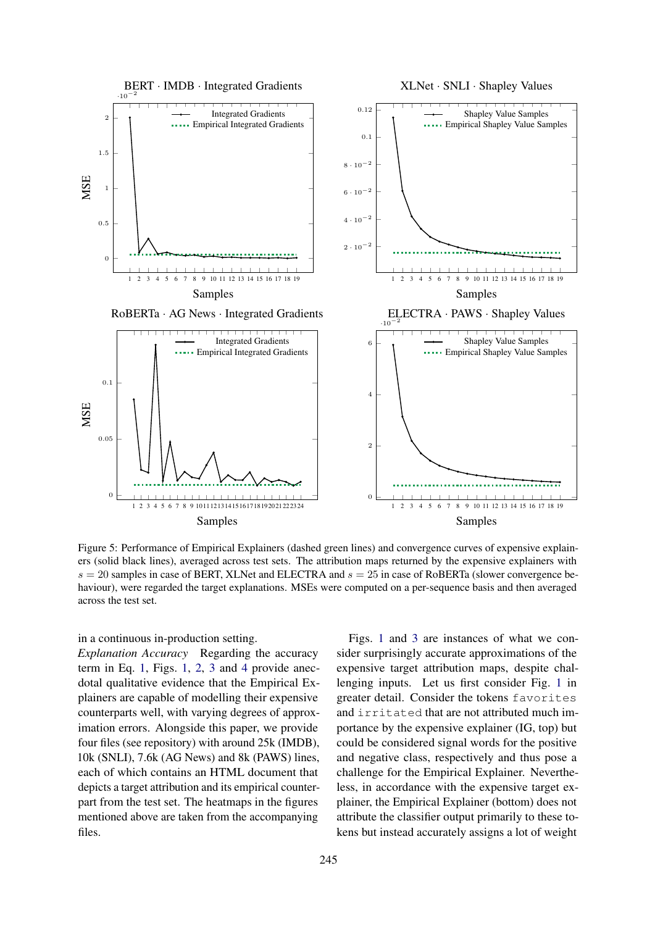<span id="page-5-0"></span>

Figure 5: Performance of Empirical Explainers (dashed green lines) and convergence curves of expensive explainers (solid black lines), averaged across test sets. The attribution maps returned by the expensive explainers with  $s = 20$  samples in case of BERT, XLNet and ELECTRA and  $s = 25$  in case of RoBERTa (slower convergence behaviour), were regarded the target explanations. MSEs were computed on a per-sequence basis and then averaged across the test set.

#### in a continuous in-production setting.

*Explanation Accuracy* Regarding the accuracy term in Eq. [1,](#page-2-0) Figs. [1,](#page-1-0) [2,](#page-2-1) [3](#page-3-0) and [4](#page-4-1) provide anecdotal qualitative evidence that the Empirical Explainers are capable of modelling their expensive counterparts well, with varying degrees of approximation errors. Alongside this paper, we provide four files (see repository) with around 25k (IMDB), 10k (SNLI), 7.6k (AG News) and 8k (PAWS) lines, each of which contains an HTML document that depicts a target attribution and its empirical counterpart from the test set. The heatmaps in the figures mentioned above are taken from the accompanying files.

Figs. [1](#page-1-0) and [3](#page-3-0) are instances of what we consider surprisingly accurate approximations of the expensive target attribution maps, despite challenging inputs. Let us first consider Fig. [1](#page-1-0) in greater detail. Consider the tokens favorites and irritated that are not attributed much importance by the expensive explainer (IG, top) but could be considered signal words for the positive and negative class, respectively and thus pose a challenge for the Empirical Explainer. Nevertheless, in accordance with the expensive target explainer, the Empirical Explainer (bottom) does not attribute the classifier output primarily to these tokens but instead accurately assigns a lot of weight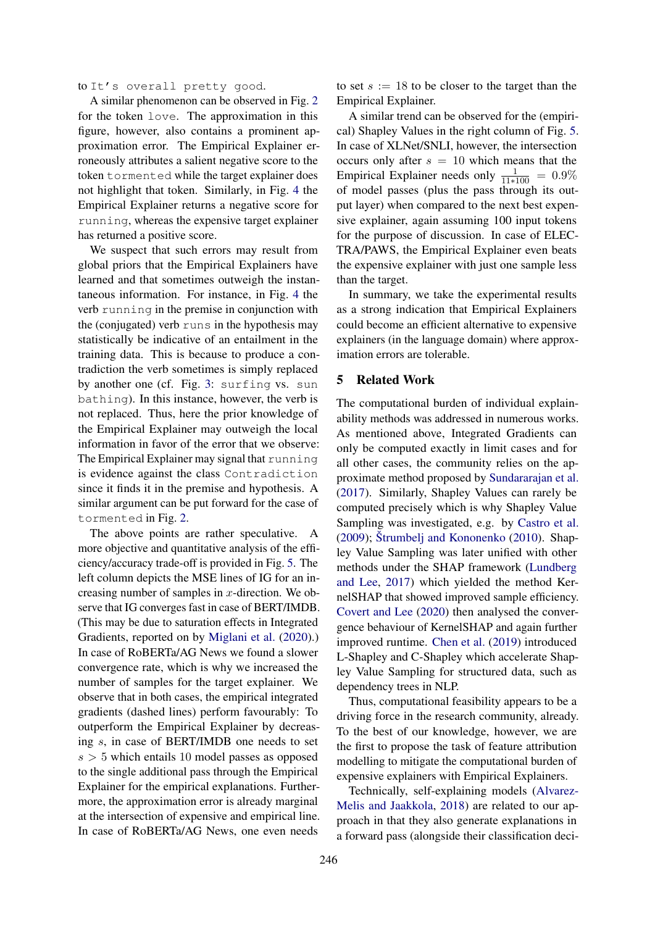to It's overall pretty good.

A similar phenomenon can be observed in Fig. [2](#page-2-1) for the token love. The approximation in this figure, however, also contains a prominent approximation error. The Empirical Explainer erroneously attributes a salient negative score to the token tormented while the target explainer does not highlight that token. Similarly, in Fig. [4](#page-4-1) the Empirical Explainer returns a negative score for running, whereas the expensive target explainer has returned a positive score.

We suspect that such errors may result from global priors that the Empirical Explainers have learned and that sometimes outweigh the instantaneous information. For instance, in Fig. [4](#page-4-1) the verb running in the premise in conjunction with the (conjugated) verb runs in the hypothesis may statistically be indicative of an entailment in the training data. This is because to produce a contradiction the verb sometimes is simply replaced by another one (cf. Fig. [3:](#page-3-0) surfing vs. sun bathing). In this instance, however, the verb is not replaced. Thus, here the prior knowledge of the Empirical Explainer may outweigh the local information in favor of the error that we observe: The Empirical Explainer may signal that running is evidence against the class Contradiction since it finds it in the premise and hypothesis. A similar argument can be put forward for the case of tormented in Fig. [2.](#page-2-1)

The above points are rather speculative. A more objective and quantitative analysis of the efficiency/accuracy trade-off is provided in Fig. [5.](#page-5-0) The left column depicts the MSE lines of IG for an increasing number of samples in  $x$ -direction. We observe that IG converges fast in case of BERT/IMDB. (This may be due to saturation effects in Integrated Gradients, reported on by [Miglani et al.](#page-8-17) [\(2020\)](#page-8-17).) In case of RoBERTa/AG News we found a slower convergence rate, which is why we increased the number of samples for the target explainer. We observe that in both cases, the empirical integrated gradients (dashed lines) perform favourably: To outperform the Empirical Explainer by decreasing s, in case of BERT/IMDB one needs to set  $s > 5$  which entails 10 model passes as opposed to the single additional pass through the Empirical Explainer for the empirical explanations. Furthermore, the approximation error is already marginal at the intersection of expensive and empirical line. In case of RoBERTa/AG News, one even needs

to set  $s := 18$  to be closer to the target than the Empirical Explainer.

A similar trend can be observed for the (empirical) Shapley Values in the right column of Fig. [5.](#page-5-0) In case of XLNet/SNLI, however, the intersection occurs only after  $s = 10$  which means that the Empirical Explainer needs only  $\frac{1}{11*100} = 0.9\%$ of model passes (plus the pass through its output layer) when compared to the next best expensive explainer, again assuming 100 input tokens for the purpose of discussion. In case of ELEC-TRA/PAWS, the Empirical Explainer even beats the expensive explainer with just one sample less than the target.

In summary, we take the experimental results as a strong indication that Empirical Explainers could become an efficient alternative to expensive explainers (in the language domain) where approximation errors are tolerable.

# 5 Related Work

The computational burden of individual explainability methods was addressed in numerous works. As mentioned above, Integrated Gradients can only be computed exactly in limit cases and for all other cases, the community relies on the approximate method proposed by [Sundararajan et al.](#page-9-2) [\(2017\)](#page-9-2). Similarly, Shapley Values can rarely be computed precisely which is why Shapley Value Sampling was investigated, e.g. by [Castro et al.](#page-8-2) [\(2009\)](#page-8-2); [Štrumbelj and Kononenko](#page-9-11) [\(2010\)](#page-9-11). Shapley Value Sampling was later unified with other methods under the SHAP framework [\(Lundberg](#page-8-6) [and Lee,](#page-8-6) [2017\)](#page-8-6) which yielded the method KernelSHAP that showed improved sample efficiency. [Covert and Lee](#page-8-10) [\(2020\)](#page-8-10) then analysed the convergence behaviour of KernelSHAP and again further improved runtime. [Chen et al.](#page-8-7) [\(2019\)](#page-8-7) introduced L-Shapley and C-Shapley which accelerate Shapley Value Sampling for structured data, such as dependency trees in NLP.

Thus, computational feasibility appears to be a driving force in the research community, already. To the best of our knowledge, however, we are the first to propose the task of feature attribution modelling to mitigate the computational burden of expensive explainers with Empirical Explainers.

Technically, self-explaining models [\(Alvarez-](#page-8-18)[Melis and Jaakkola,](#page-8-18) [2018\)](#page-8-18) are related to our approach in that they also generate explanations in a forward pass (alongside their classification deci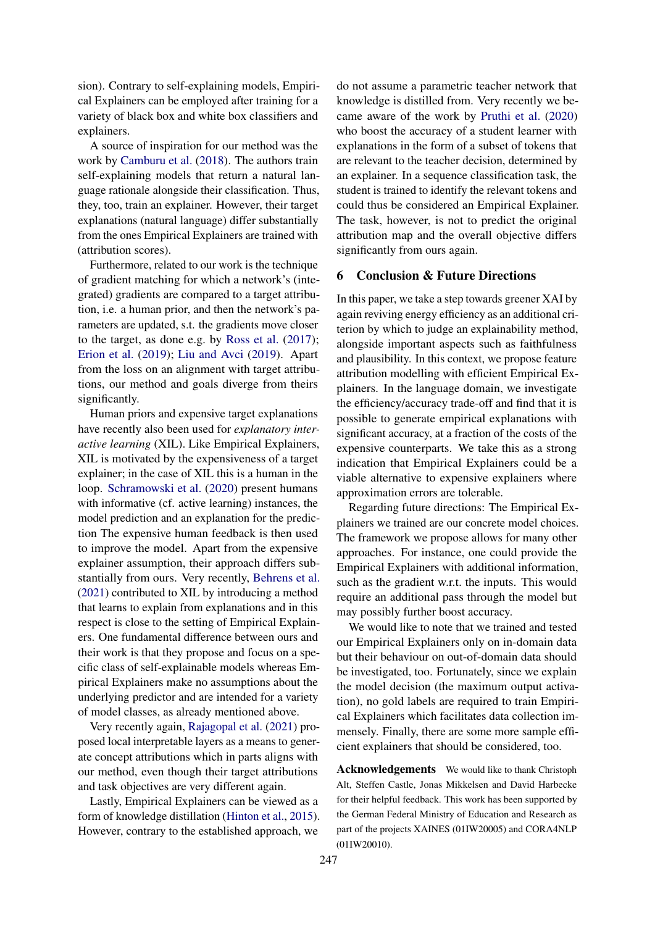sion). Contrary to self-explaining models, Empirical Explainers can be employed after training for a variety of black box and white box classifiers and explainers.

A source of inspiration for our method was the work by [Camburu et al.](#page-8-19) [\(2018\)](#page-8-19). The authors train self-explaining models that return a natural language rationale alongside their classification. Thus, they, too, train an explainer. However, their target explanations (natural language) differ substantially from the ones Empirical Explainers are trained with (attribution scores).

Furthermore, related to our work is the technique of gradient matching for which a network's (integrated) gradients are compared to a target attribution, i.e. a human prior, and then the network's parameters are updated, s.t. the gradients move closer to the target, as done e.g. by [Ross et al.](#page-9-12) [\(2017\)](#page-9-12); [Erion et al.](#page-8-9) [\(2019\)](#page-8-9); [Liu and Avci](#page-8-20) [\(2019\)](#page-8-20). Apart from the loss on an alignment with target attributions, our method and goals diverge from theirs significantly.

Human priors and expensive target explanations have recently also been used for *explanatory interactive learning* (XIL). Like Empirical Explainers, XIL is motivated by the expensiveness of a target explainer; in the case of XIL this is a human in the loop. [Schramowski et al.](#page-9-13) [\(2020\)](#page-9-13) present humans with informative (cf. active learning) instances, the model prediction and an explanation for the prediction The expensive human feedback is then used to improve the model. Apart from the expensive explainer assumption, their approach differs substantially from ours. Very recently, [Behrens et al.](#page-8-21) [\(2021\)](#page-8-21) contributed to XIL by introducing a method that learns to explain from explanations and in this respect is close to the setting of Empirical Explainers. One fundamental difference between ours and their work is that they propose and focus on a specific class of self-explainable models whereas Empirical Explainers make no assumptions about the underlying predictor and are intended for a variety of model classes, as already mentioned above.

Very recently again, [Rajagopal et al.](#page-8-22) [\(2021\)](#page-8-22) proposed local interpretable layers as a means to generate concept attributions which in parts aligns with our method, even though their target attributions and task objectives are very different again.

Lastly, Empirical Explainers can be viewed as a form of knowledge distillation [\(Hinton et al.,](#page-8-23) [2015\)](#page-8-23). However, contrary to the established approach, we

do not assume a parametric teacher network that knowledge is distilled from. Very recently we became aware of the work by [Pruthi et al.](#page-8-24) [\(2020\)](#page-8-24) who boost the accuracy of a student learner with explanations in the form of a subset of tokens that are relevant to the teacher decision, determined by an explainer. In a sequence classification task, the student is trained to identify the relevant tokens and could thus be considered an Empirical Explainer. The task, however, is not to predict the original attribution map and the overall objective differs significantly from ours again.

#### 6 Conclusion & Future Directions

In this paper, we take a step towards greener XAI by again reviving energy efficiency as an additional criterion by which to judge an explainability method, alongside important aspects such as faithfulness and plausibility. In this context, we propose feature attribution modelling with efficient Empirical Explainers. In the language domain, we investigate the efficiency/accuracy trade-off and find that it is possible to generate empirical explanations with significant accuracy, at a fraction of the costs of the expensive counterparts. We take this as a strong indication that Empirical Explainers could be a viable alternative to expensive explainers where approximation errors are tolerable.

Regarding future directions: The Empirical Explainers we trained are our concrete model choices. The framework we propose allows for many other approaches. For instance, one could provide the Empirical Explainers with additional information, such as the gradient w.r.t. the inputs. This would require an additional pass through the model but may possibly further boost accuracy.

We would like to note that we trained and tested our Empirical Explainers only on in-domain data but their behaviour on out-of-domain data should be investigated, too. Fortunately, since we explain the model decision (the maximum output activation), no gold labels are required to train Empirical Explainers which facilitates data collection immensely. Finally, there are some more sample efficient explainers that should be considered, too.

Acknowledgements We would like to thank Christoph Alt, Steffen Castle, Jonas Mikkelsen and David Harbecke for their helpful feedback. This work has been supported by the German Federal Ministry of Education and Research as part of the projects XAINES (01IW20005) and CORA4NLP (01IW20010).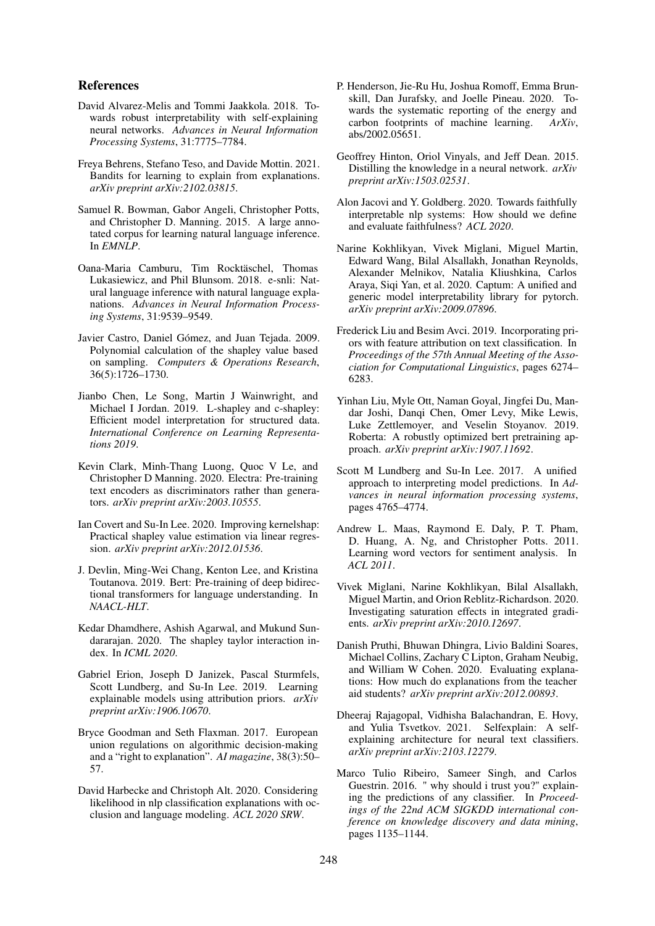### References

- <span id="page-8-18"></span>David Alvarez-Melis and Tommi Jaakkola. 2018. Towards robust interpretability with self-explaining neural networks. *Advances in Neural Information Processing Systems*, 31:7775–7784.
- <span id="page-8-21"></span>Freya Behrens, Stefano Teso, and Davide Mottin. 2021. Bandits for learning to explain from explanations. *arXiv preprint arXiv:2102.03815*.
- <span id="page-8-14"></span>Samuel R. Bowman, Gabor Angeli, Christopher Potts, and Christopher D. Manning. 2015. A large annotated corpus for learning natural language inference. In *EMNLP*.
- <span id="page-8-19"></span>Oana-Maria Camburu, Tim Rocktäschel, Thomas Lukasiewicz, and Phil Blunsom. 2018. e-snli: Natural language inference with natural language explanations. *Advances in Neural Information Processing Systems*, 31:9539–9549.
- <span id="page-8-2"></span>Javier Castro, Daniel Gómez, and Juan Tejada. 2009. Polynomial calculation of the shapley value based on sampling. *Computers & Operations Research*, 36(5):1726–1730.
- <span id="page-8-7"></span>Jianbo Chen, Le Song, Martin J Wainwright, and Michael I Jordan. 2019. L-shapley and c-shapley: Efficient model interpretation for structured data. *International Conference on Learning Representations 2019*.
- <span id="page-8-16"></span>Kevin Clark, Minh-Thang Luong, Quoc V Le, and Christopher D Manning. 2020. Electra: Pre-training text encoders as discriminators rather than generators. *arXiv preprint arXiv:2003.10555*.
- <span id="page-8-10"></span>Ian Covert and Su-In Lee. 2020. Improving kernelshap: Practical shapley value estimation via linear regression. *arXiv preprint arXiv:2012.01536*.
- <span id="page-8-12"></span>J. Devlin, Ming-Wei Chang, Kenton Lee, and Kristina Toutanova. 2019. Bert: Pre-training of deep bidirectional transformers for language understanding. In *NAACL-HLT*.
- <span id="page-8-8"></span>Kedar Dhamdhere, Ashish Agarwal, and Mukund Sundararajan. 2020. The shapley taylor interaction index. In *ICML 2020*.
- <span id="page-8-9"></span>Gabriel Erion, Joseph D Janizek, Pascal Sturmfels, Scott Lundberg, and Su-In Lee. 2019. Learning explainable models using attribution priors. *arXiv preprint arXiv:1906.10670*.
- <span id="page-8-4"></span>Bryce Goodman and Seth Flaxman. 2017. European union regulations on algorithmic decision-making and a "right to explanation". *AI magazine*, 38(3):50– 57.
- <span id="page-8-11"></span>David Harbecke and Christoph Alt. 2020. Considering likelihood in nlp classification explanations with occlusion and language modeling. *ACL 2020 SRW*.
- <span id="page-8-0"></span>P. Henderson, Jie-Ru Hu, Joshua Romoff, Emma Brunskill, Dan Jurafsky, and Joelle Pineau. 2020. Towards the systematic reporting of the energy and carbon footprints of machine learning. *ArXiv*, abs/2002.05651.
- <span id="page-8-23"></span>Geoffrey Hinton, Oriol Vinyals, and Jeff Dean. 2015. Distilling the knowledge in a neural network. *arXiv preprint arXiv:1503.02531*.
- <span id="page-8-1"></span>Alon Jacovi and Y. Goldberg. 2020. Towards faithfully interpretable nlp systems: How should we define and evaluate faithfulness? *ACL 2020*.
- <span id="page-8-3"></span>Narine Kokhlikyan, Vivek Miglani, Miguel Martin, Edward Wang, Bilal Alsallakh, Jonathan Reynolds, Alexander Melnikov, Natalia Kliushkina, Carlos Araya, Siqi Yan, et al. 2020. Captum: A unified and generic model interpretability library for pytorch. *arXiv preprint arXiv:2009.07896*.
- <span id="page-8-20"></span>Frederick Liu and Besim Avci. 2019. Incorporating priors with feature attribution on text classification. In *Proceedings of the 57th Annual Meeting of the Association for Computational Linguistics*, pages 6274– 6283.
- <span id="page-8-15"></span>Yinhan Liu, Myle Ott, Naman Goyal, Jingfei Du, Mandar Joshi, Danqi Chen, Omer Levy, Mike Lewis, Luke Zettlemoyer, and Veselin Stoyanov. 2019. Roberta: A robustly optimized bert pretraining approach. *arXiv preprint arXiv:1907.11692*.
- <span id="page-8-6"></span>Scott M Lundberg and Su-In Lee. 2017. A unified approach to interpreting model predictions. In *Advances in neural information processing systems*, pages 4765–4774.
- <span id="page-8-13"></span>Andrew L. Maas, Raymond E. Daly, P. T. Pham, D. Huang, A. Ng, and Christopher Potts. 2011. Learning word vectors for sentiment analysis. In *ACL 2011*.
- <span id="page-8-17"></span>Vivek Miglani, Narine Kokhlikyan, Bilal Alsallakh, Miguel Martin, and Orion Reblitz-Richardson. 2020. Investigating saturation effects in integrated gradients. *arXiv preprint arXiv:2010.12697*.
- <span id="page-8-24"></span>Danish Pruthi, Bhuwan Dhingra, Livio Baldini Soares, Michael Collins, Zachary C Lipton, Graham Neubig, and William W Cohen. 2020. Evaluating explanations: How much do explanations from the teacher aid students? *arXiv preprint arXiv:2012.00893*.
- <span id="page-8-22"></span>Dheeraj Rajagopal, Vidhisha Balachandran, E. Hovy, and Yulia Tsvetkov. 2021. Selfexplain: A selfexplaining architecture for neural text classifiers. *arXiv preprint arXiv:2103.12279*.
- <span id="page-8-5"></span>Marco Tulio Ribeiro, Sameer Singh, and Carlos Guestrin. 2016. " why should i trust you?" explaining the predictions of any classifier. In *Proceedings of the 22nd ACM SIGKDD international conference on knowledge discovery and data mining*, pages 1135–1144.